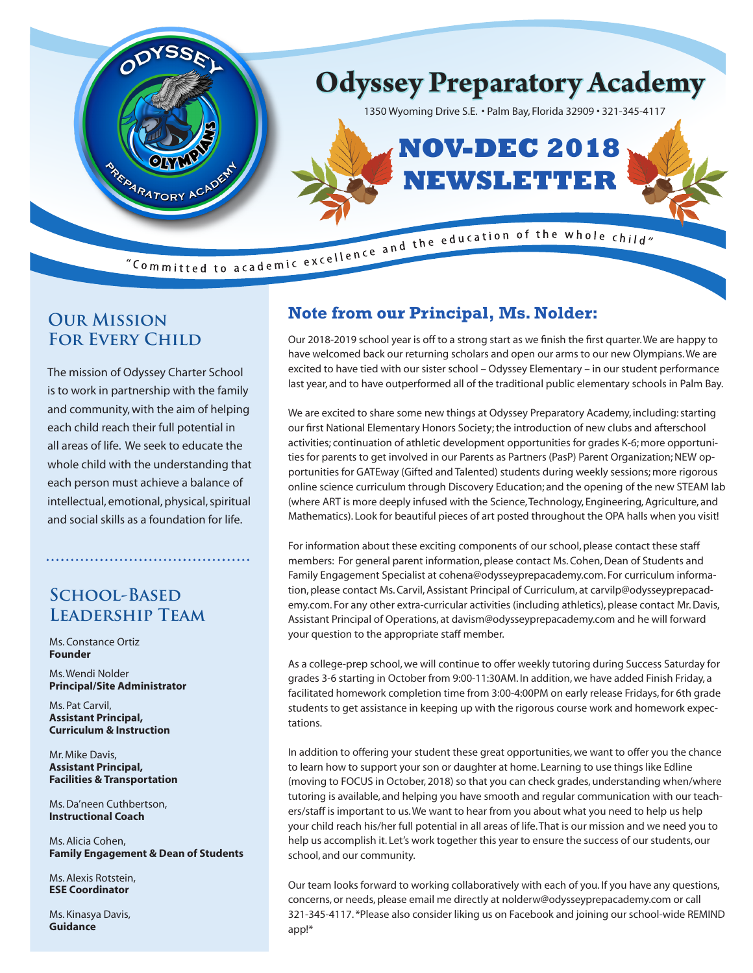

## **Our Mission FOR EVERY CHILD**

The mission of Odyssey Charter School is to work in partnership with the family and community, with the aim of helping each child reach their full potential in all areas of life. We seek to educate the whole child with the understanding that each person must achieve a balance of intellectual, emotional, physical, spiritual and social skills as a foundation for life.

## **School-Based Leadership Team**

Ms. Constance Ortiz **Founder**

Ms. Wendi Nolder **Principal/Site Administrator**

Ms. Pat Carvil, **Assistant Principal, Curriculum & Instruction**

Mr. Mike Davis, **Assistant Principal, Facilities & Transportation**

Ms. Da'neen Cuthbertson, **Instructional Coach**

Ms. Alicia Cohen, **Family Engagement & Dean of Students**

Ms. Alexis Rotstein, **ESE Coordinator**

Ms. Kinasya Davis, **Guidance**

# **Note from our Principal, Ms. Nolder:**

Our 2018-2019 school year is off to a strong start as we finish the first quarter. We are happy to have welcomed back our returning scholars and open our arms to our new Olympians. We are excited to have tied with our sister school – Odyssey Elementary – in our student performance last year, and to have outperformed all of the traditional public elementary schools in Palm Bay.

We are excited to share some new things at Odyssey Preparatory Academy, including: starting our first National Elementary Honors Society; the introduction of new clubs and afterschool activities; continuation of athletic development opportunities for grades K-6; more opportunities for parents to get involved in our Parents as Partners (PasP) Parent Organization; NEW opportunities for GATEway (Gifted and Talented) students during weekly sessions; more rigorous online science curriculum through Discovery Education; and the opening of the new STEAM lab (where ART is more deeply infused with the Science, Technology, Engineering, Agriculture, and Mathematics). Look for beautiful pieces of art posted throughout the OPA halls when you visit!

For information about these exciting components of our school, please contact these staff members: For general parent information, please contact Ms. Cohen, Dean of Students and Family Engagement Specialist at cohena@odysseyprepacademy.com. For curriculum information, please contact Ms. Carvil, Assistant Principal of Curriculum, at carvilp@odysseyprepacademy.com. For any other extra-curricular activities (including athletics), please contact Mr. Davis, Assistant Principal of Operations, at davism@odysseyprepacademy.com and he will forward your question to the appropriate staff member.

As a college-prep school, we will continue to offer weekly tutoring during Success Saturday for grades 3-6 starting in October from 9:00-11:30AM. In addition, we have added Finish Friday, a facilitated homework completion time from 3:00-4:00PM on early release Fridays, for 6th grade students to get assistance in keeping up with the rigorous course work and homework expectations.

In addition to offering your student these great opportunities, we want to offer you the chance to learn how to support your son or daughter at home. Learning to use things like Edline (moving to FOCUS in October, 2018) so that you can check grades, understanding when/where tutoring is available, and helping you have smooth and regular communication with our teachers/staff is important to us. We want to hear from you about what you need to help us help your child reach his/her full potential in all areas of life. That is our mission and we need you to help us accomplish it. Let's work together this year to ensure the success of our students, our school, and our community.

Our team looks forward to working collaboratively with each of you. If you have any questions, concerns, or needs, please email me directly at nolderw@odysseyprepacademy.com or call 321-345-4117. \*Please also consider liking us on Facebook and joining our school-wide REMIND app!\*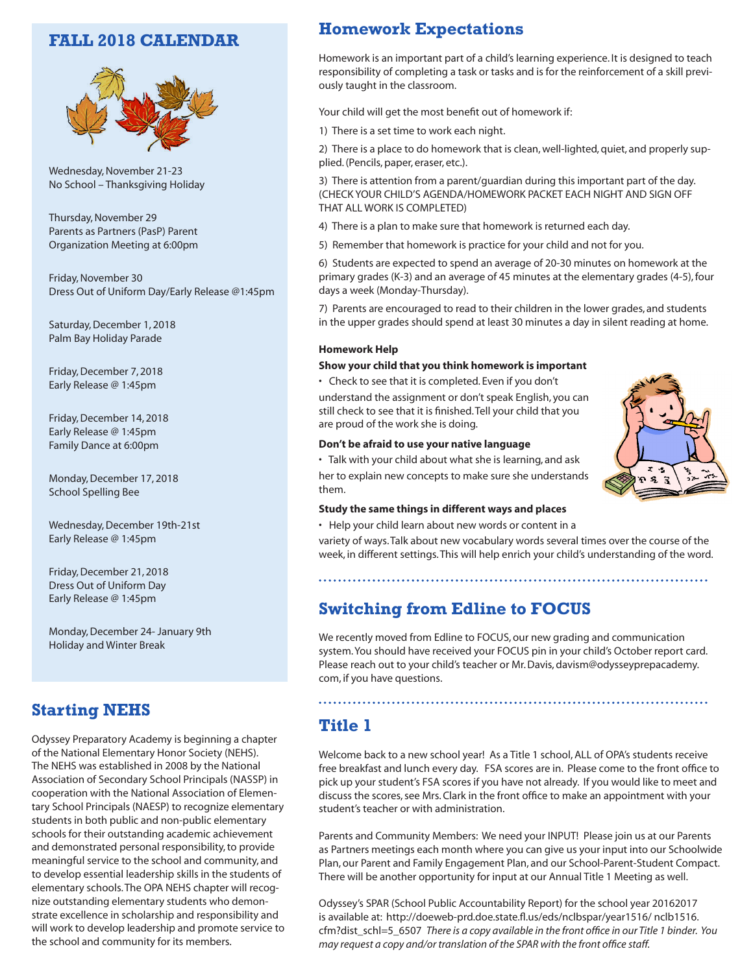### **FALL 2018 CALENDAR**



Wednesday, November 21-23 No School – Thanksgiving Holiday

Thursday, November 29 Parents as Partners (PasP) Parent Organization Meeting at 6:00pm

Friday, November 30 Dress Out of Uniform Day/Early Release @1:45pm

Saturday, December 1, 2018 Palm Bay Holiday Parade

Friday, December 7, 2018 Early Release @ 1:45pm

Friday, December 14, 2018 Early Release @ 1:45pm Family Dance at 6:00pm

Monday, December 17, 2018 School Spelling Bee

Wednesday, December 19th-21st Early Release @ 1:45pm

Friday, December 21, 2018 Dress Out of Uniform Day Early Release @ 1:45pm

Monday, December 24- January 9th Holiday and Winter Break

### **Starting NEHS**

Odyssey Preparatory Academy is beginning a chapter of the National Elementary Honor Society (NEHS). The NEHS was established in 2008 by the National Association of Secondary School Principals (NASSP) in cooperation with the National Association of Elementary School Principals (NAESP) to recognize elementary students in both public and non-public elementary schools for their outstanding academic achievement and demonstrated personal responsibility, to provide meaningful service to the school and community, and to develop essential leadership skills in the students of elementary schools.The OPA NEHS chapter will recognize outstanding elementary students who demonstrate excellence in scholarship and responsibility and will work to develop leadership and promote service to the school and community for its members.

# **Homework Expectations**

Homework is an important part of a child's learning experience. It is designed to teach responsibility of completing a task or tasks and is for the reinforcement of a skill previously taught in the classroom.

Your child will get the most benefit out of homework if:

1) There is a set time to work each night.

2) There is a place to do homework that is clean, well-lighted, quiet, and properly supplied. (Pencils, paper, eraser, etc.).

3) There is attention from a parent/guardian during this important part of the day. (CHECK YOUR CHILD'S AGENDA/HOMEWORK PACKET EACH NIGHT AND SIGN OFF THAT ALL WORK IS COMPLETED)

4) There is a plan to make sure that homework is returned each day.

5) Remember that homework is practice for your child and not for you.

6) Students are expected to spend an average of 20-30 minutes on homework at the primary grades (K-3) and an average of 45 minutes at the elementary grades (4-5), four days a week (Monday-Thursday).

7) Parents are encouraged to read to their children in the lower grades, and students in the upper grades should spend at least 30 minutes a day in silent reading at home.

#### **Homework Help**

#### **Show your child that you think homework is important**

• Check to see that it is completed. Even if you don't

understand the assignment or don't speak English, you can still check to see that it is finished. Tell your child that you are proud of the work she is doing.

#### **Don't be afraid to use your native language**

• Talk with your child about what she is learning, and ask her to explain new concepts to make sure she understands them.



• Help your child learn about new words or content in a

variety of ways. Talk about new vocabulary words several times over the course of the week, in different settings. This will help enrich your child's understanding of the word.

### **Switching from Edline to FOCUS**

We recently moved from Edline to FOCUS, our new grading and communication system. You should have received your FOCUS pin in your child's October report card. Please reach out to your child's teacher or Mr. Davis, davism@odysseyprepacademy. com, if you have questions.

### **Title 1**

Welcome back to a new school year! As a Title 1 school, ALL of OPA's students receive free breakfast and lunch every day. FSA scores are in. Please come to the front office to pick up your student's FSA scores if you have not already. If you would like to meet and discuss the scores, see Mrs. Clark in the front office to make an appointment with your student's teacher or with administration.

Parents and Community Members: We need your INPUT! Please join us at our Parents as Partners meetings each month where you can give us your input into our Schoolwide Plan, our Parent and Family Engagement Plan, and our School-Parent-Student Compact. There will be another opportunity for input at our Annual Title 1 Meeting as well.

Odyssey's SPAR (School Public Accountability Report) for the school year 20162017 is available at: http://doeweb-prd.doe.state.fl.us/eds/nclbspar/year1516/ nclb1516. cfm?dist\_schl=5\_6507 *There is a copy available in the front office in our Title 1 binder. You may request a copy and/or translation of the SPAR with the front office staff.*